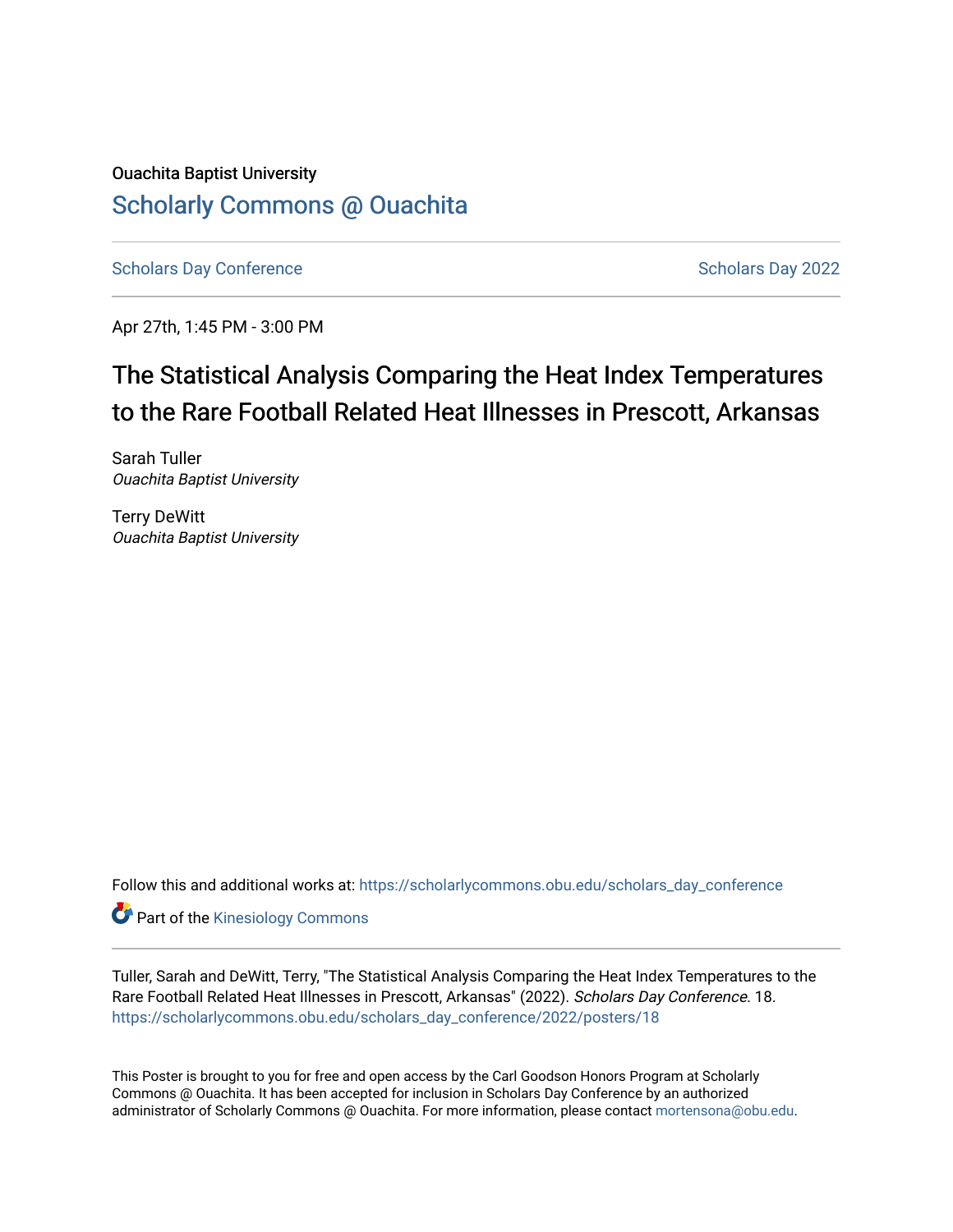# Ouachita Baptist University [Scholarly Commons @ Ouachita](https://scholarlycommons.obu.edu/)

[Scholars Day Conference](https://scholarlycommons.obu.edu/scholars_day_conference) Scholars Day 2022

Apr 27th, 1:45 PM - 3:00 PM

# The Statistical Analysis Comparing the Heat Index Temperatures to the Rare Football Related Heat Illnesses in Prescott, Arkansas

Sarah Tuller Ouachita Baptist University

Terry DeWitt Ouachita Baptist University

Follow this and additional works at: [https://scholarlycommons.obu.edu/scholars\\_day\\_conference](https://scholarlycommons.obu.edu/scholars_day_conference?utm_source=scholarlycommons.obu.edu%2Fscholars_day_conference%2F2022%2Fposters%2F18&utm_medium=PDF&utm_campaign=PDFCoverPages)

**Part of the Kinesiology Commons** 

Tuller, Sarah and DeWitt, Terry, "The Statistical Analysis Comparing the Heat Index Temperatures to the Rare Football Related Heat Illnesses in Prescott, Arkansas" (2022). Scholars Day Conference. 18. [https://scholarlycommons.obu.edu/scholars\\_day\\_conference/2022/posters/18](https://scholarlycommons.obu.edu/scholars_day_conference/2022/posters/18?utm_source=scholarlycommons.obu.edu%2Fscholars_day_conference%2F2022%2Fposters%2F18&utm_medium=PDF&utm_campaign=PDFCoverPages) 

This Poster is brought to you for free and open access by the Carl Goodson Honors Program at Scholarly Commons @ Ouachita. It has been accepted for inclusion in Scholars Day Conference by an authorized administrator of Scholarly Commons @ Ouachita. For more information, please contact [mortensona@obu.edu](mailto:mortensona@obu.edu).